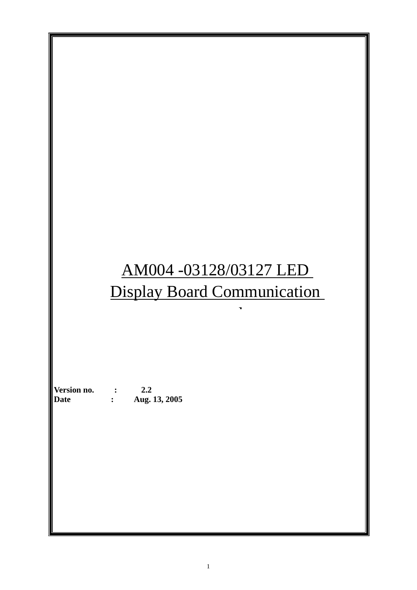# AM004 -03128/03127 LED Display Board Communication

 $\ddot{\phantom{1}}$ 

**Version no. : 2.2 Date : Aug. 13, 2005**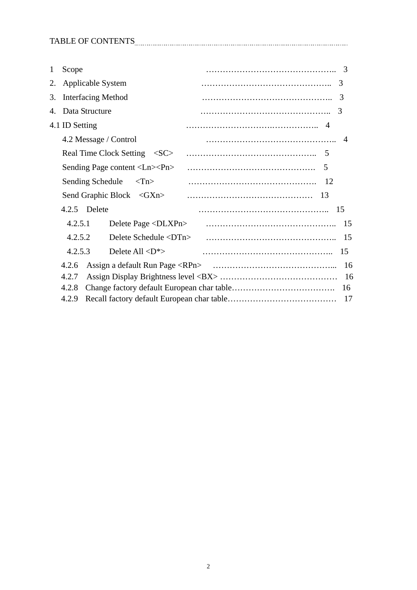TABLE OF CONTENTS

| 1  | Scope<br>3                                                    |
|----|---------------------------------------------------------------|
| 2. | Applicable System<br>3                                        |
| 3. | <b>Interfacing Method</b><br>3                                |
|    | 4. Data Structure<br>$\mathcal{R}$                            |
|    | 4.1 ID Setting                                                |
|    | 4.2 Message / Control<br>$\overline{4}$                       |
|    | <b>Real Time Clock Setting</b><br>$\langle \text{SC} \rangle$ |
|    | Sending Page content <ln><pn><br/>5</pn></ln>                 |
|    | Sending Schedule<br>$<$ Tn $>$                                |
|    | Send Graphic Block <gxn><br/>-13</gxn>                        |
|    | 4.2.5 Delete                                                  |
|    | 4.2.5.1<br>15                                                 |
|    | 4.2.5.2<br>Delete Schedule $\langle DTn \rangle$<br>15        |
|    | 4.2.5.3<br>Delete All $\langle D^* \rangle$<br>15             |
|    | 4.2.6<br>16                                                   |
|    | 4.2.7<br>16                                                   |
|    | 4.2.8<br>16                                                   |
|    | 4.2.9<br>17                                                   |
|    |                                                               |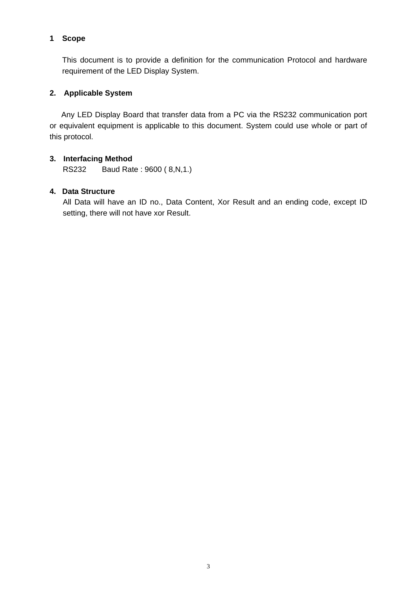# **1 Scope**

This document is to provide a definition for the communication Protocol and hardware requirement of the LED Display System.

# **2. Applicable System**

 Any LED Display Board that transfer data from a PC via the RS232 communication port or equivalent equipment is applicable to this document. System could use whole or part of this protocol.

# **3. Interfacing Method**

RS232 Baud Rate : 9600 ( 8,N,1.)

# **4. Data Structure**

All Data will have an ID no., Data Content, Xor Result and an ending code, except ID setting, there will not have xor Result.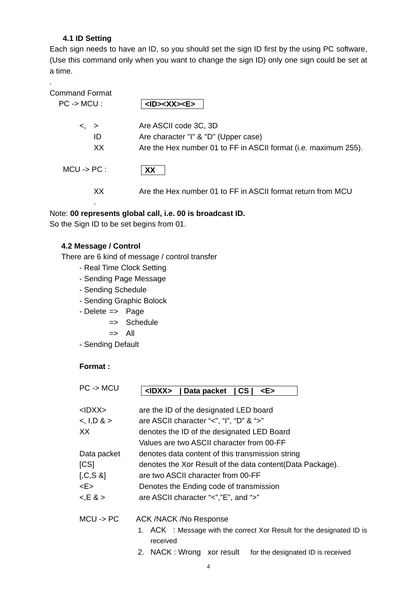# **4.1 ID Setting**

Each sign needs to have an ID, so you should set the sign ID first by the using PC software, (Use this command only when you want to change the sign ID) only one sign could be set at a time.

| Command Format<br>$PC \rightarrow MCU$ : | <id><xx><e></e></xx></id>                                       |
|------------------------------------------|-----------------------------------------------------------------|
| $\lt$ , $>$                              | Are ASCII code 3C, 3D                                           |
| ID                                       | Are character "I" & "D" (Upper case)                            |
| XX                                       | Are the Hex number 01 to FF in ASCII format (i.e. maximum 255). |
| $MCU \rightarrow PC$ :                   | XX                                                              |
| XX.                                      | Are the Hex number 01 to FF in ASCII format return from MCU     |
| ٠                                        |                                                                 |

# Note: **00 represents global call, i.e. 00 is broadcast ID.**

So the Sign ID to be set begins from 01.

### **4.2 Message / Control**

There are 6 kind of message / control transfer

- Real Time Clock Setting
- Sending Page Message
- Sending Schedule
- Sending Graphic Bolock
- Delete => Page
	- => Schedule
	- $\Rightarrow$  All
- Sending Default

#### **Format :**

| $PC \rightarrow MCU$ | <idxx><br/>Data packet<br/><b>CS</b><br/><e></e></idxx>               |
|----------------------|-----------------------------------------------------------------------|
| <idxx></idxx>        | are the ID of the designated LED board                                |
| $<$ , I,D & $>$      | are ASCII character "<", "I", "D" & ">"                               |
| XX                   | denotes the ID of the designated LED Board                            |
|                      | Values are two ASCII character from 00-FF                             |
| Data packet          | denotes data content of this transmission string                      |
| CS                   | denotes the Xor Result of the data content (Data Package).            |
| $[,C, S, \&]$        | are two ASCII character from 00-FF                                    |
| <e></e>              | Denotes the Ending code of transmission                               |
| $<$ ,E & >           | are ASCII character "<","E", and ">"                                  |
| $MCU - > PC$         | <b>ACK /NACK /No Response</b>                                         |
|                      | 1. ACK : Message with the correct Xor Result for the designated ID is |
|                      | received                                                              |
|                      | 2. NACK: Wrong xor result<br>for the designated ID is received        |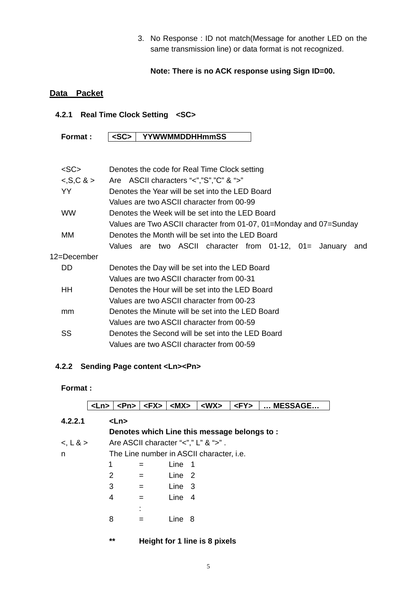3. No Response : ID not match(Message for another LED on the same transmission line) or data format is not recognized.

# **Note: There is no ACK response using Sign ID=00.**

# Data Packet

# **4.2.1 Real Time Clock Setting <SC>**

**Format : <SC> YYWWMMDDHHmmSS** 

| <sc></sc>                                              | Denotes the code for Real Time Clock setting                       |  |  |  |  |  |  |  |
|--------------------------------------------------------|--------------------------------------------------------------------|--|--|--|--|--|--|--|
| $<$ , S, C & $>$                                       | Are ASCII characters "<","S","C" & ">"                             |  |  |  |  |  |  |  |
| YY                                                     | Denotes the Year will be set into the LED Board                    |  |  |  |  |  |  |  |
|                                                        | Values are two ASCII character from 00-99                          |  |  |  |  |  |  |  |
| WW.<br>Denotes the Week will be set into the LED Board |                                                                    |  |  |  |  |  |  |  |
|                                                        | Values are Two ASCII character from 01-07, 01=Monday and 07=Sunday |  |  |  |  |  |  |  |
| MМ                                                     | Denotes the Month will be set into the LED Board                   |  |  |  |  |  |  |  |
|                                                        | Values are two ASCII character from 01-12, 01= January<br>and      |  |  |  |  |  |  |  |
| 12=December                                            |                                                                    |  |  |  |  |  |  |  |
| DD                                                     | Denotes the Day will be set into the LED Board                     |  |  |  |  |  |  |  |
|                                                        | Values are two ASCII character from 00-31                          |  |  |  |  |  |  |  |
| ΗH                                                     | Denotes the Hour will be set into the LED Board                    |  |  |  |  |  |  |  |
|                                                        | Values are two ASCII character from 00-23                          |  |  |  |  |  |  |  |
| mm                                                     | Denotes the Minute will be set into the LED Board                  |  |  |  |  |  |  |  |
|                                                        | Values are two ASCII character from 00-59                          |  |  |  |  |  |  |  |
| SS                                                     | Denotes the Second will be set into the LED Board                  |  |  |  |  |  |  |  |
|                                                        | Values are two ASCII character from 00-59                          |  |  |  |  |  |  |  |

#### **4.2.2 Sending Page content <Ln><Pn>**

# **Format :**

|             | <ln></ln>                              | $\rho$ -Pn> | $<$ FX> $ <$ MX>  | $<$ WX $>$                                  | $<$ FY $>$ | <b>MESSAGE</b> |
|-------------|----------------------------------------|-------------|-------------------|---------------------------------------------|------------|----------------|
| 4.2.2.1     | $<$ Ln>                                |             |                   |                                             |            |                |
|             |                                        |             |                   | Denotes which Line this message belongs to: |            |                |
| $<$ , L & > |                                        |             |                   | Are ASCII character "<"," L" & ">".         |            |                |
| n           |                                        |             |                   | The Line number in ASCII character, i.e.    |            |                |
|             | 1                                      | $=$         | Line 1            |                                             |            |                |
|             | 2                                      | $=$         | Line <sub>2</sub> |                                             |            |                |
|             | 3                                      | $=$         | Line 3            |                                             |            |                |
|             | 4                                      | $=$         | Line 4            |                                             |            |                |
|             |                                        |             |                   |                                             |            |                |
|             | 8                                      | $=$         | Line<br>- 8       |                                             |            |                |
|             | $***$<br>Height for 1 line is 8 pixels |             |                   |                                             |            |                |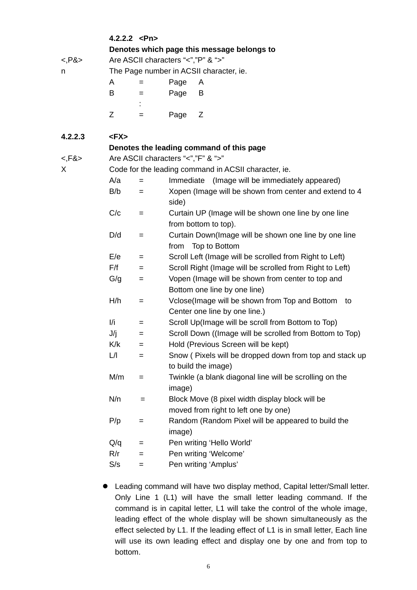|              | 4.2.2.2 < Pn                               |     |           |                                                                                         |  |  |
|--------------|--------------------------------------------|-----|-----------|-----------------------------------------------------------------------------------------|--|--|
|              | Denotes which page this message belongs to |     |           |                                                                                         |  |  |
| $<$ , P& $>$ | Are ASCII characters "<","P" & ">"         |     |           |                                                                                         |  |  |
| n            | The Page number in ACSII character, ie.    |     |           |                                                                                         |  |  |
|              | A                                          | $=$ | Page      | A                                                                                       |  |  |
|              | B                                          | $=$ | Page      | B                                                                                       |  |  |
|              |                                            |     |           |                                                                                         |  |  |
|              | Ζ                                          | $=$ | Page      | Ζ                                                                                       |  |  |
| 4.2.2.3      | <fx></fx>                                  |     |           |                                                                                         |  |  |
|              |                                            |     |           | Denotes the leading command of this page                                                |  |  |
| $<,$ F& $>$  |                                            |     |           | Are ASCII characters "<","F" & ">"                                                      |  |  |
| X            |                                            |     |           | Code for the leading command in ACSII character, ie.                                    |  |  |
|              | A/a                                        | $=$ | Immediate | (Image will be immediately appeared)                                                    |  |  |
|              | B/b                                        | $=$ | side)     | Xopen (Image will be shown from center and extend to 4                                  |  |  |
|              | C/c                                        | $=$ |           | Curtain UP (Image will be shown one line by one line<br>from bottom to top).            |  |  |
|              | D/d                                        | =   | from      | Curtain Down(Image will be shown one line by one line<br>Top to Bottom                  |  |  |
|              | E/e                                        | $=$ |           | Scroll Left (Image will be scrolled from Right to Left)                                 |  |  |
|              | F/f                                        | $=$ |           | Scroll Right (Image will be scrolled from Right to Left)                                |  |  |
|              | G/g                                        | $=$ |           | Vopen (Image will be shown from center to top and<br>Bottom one line by one line)       |  |  |
|              | H/h                                        | $=$ |           | Vclose (Image will be shown from Top and Bottom<br>to<br>Center one line by one line.)  |  |  |
|              | l/i                                        | $=$ |           | Scroll Up(Image will be scroll from Bottom to Top)                                      |  |  |
|              | J/j                                        | $=$ |           | Scroll Down ((Image will be scrolled from Bottom to Top)                                |  |  |
|              | K/k                                        | $=$ |           | Hold (Previous Screen will be kept)                                                     |  |  |
|              | L/                                         | $=$ |           | Snow (Pixels will be dropped down from top and stack up<br>to build the image)          |  |  |
|              | M/m                                        | $=$ | image)    | Twinkle (a blank diagonal line will be scrolling on the                                 |  |  |
|              | N/n                                        | =   |           | Block Move (8 pixel width display block will be<br>moved from right to left one by one) |  |  |
|              | P/p                                        | =   | image)    | Random (Random Pixel will be appeared to build the                                      |  |  |
|              | Q/q                                        | $=$ |           | Pen writing 'Hello World'                                                               |  |  |
|              | R/r                                        | $=$ |           | Pen writing 'Welcome'                                                                   |  |  |
|              | S/s                                        | $=$ |           | Pen writing 'Amplus'                                                                    |  |  |
|              |                                            |     |           |                                                                                         |  |  |

• Leading command will have two display method, Capital letter/Small letter. Only Line 1 (L1) will have the small letter leading command. If the command is in capital letter, L1 will take the control of the whole image, leading effect of the whole display will be shown simultaneously as the effect selected by L1. If the leading effect of L1 is in small letter, Each line will use its own leading effect and display one by one and from top to bottom.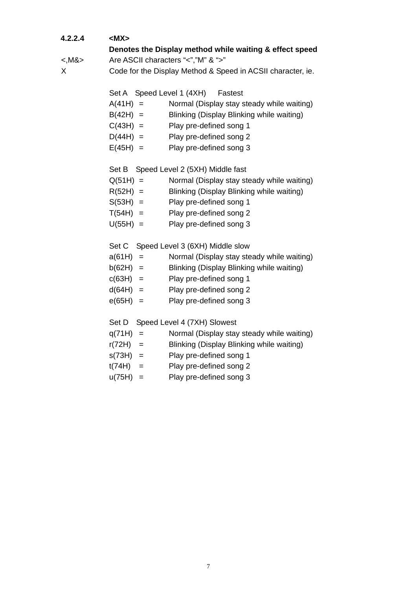# **4.2.2.4 <MX>**

**Denotes the Display method while waiting & effect speed** 

- <,M&> Are ASCII characters "<","M" & ">"
- X Code for the Display Method & Speed in ACSII character, ie.

| Set A Speed Level 1 (4XH) | Fastest |  |
|---------------------------|---------|--|
|                           |         |  |

- $A(41H) =$  Normal (Display stay steady while waiting)
- $B(42H) =$  Blinking (Display Blinking while waiting)
- $C(43H) =$  Play pre-defined song 1
- $D(44H) =$  Play pre-defined song 2
- $E(45H) =$  Play pre-defined song 3

Set B Speed Level 2 (5XH) Middle fast

- $Q(51H) =$  Normal (Display stay steady while waiting)
- $R(52H) =$  Blinking (Display Blinking while waiting)
- $S(53H) =$  Play pre-defined song 1
- $T(54H) =$  Play pre-defined song 2
- $U(55H) =$  Play pre-defined song 3

Set C Speed Level 3 (6XH) Middle slow

- $a(61H)$  = Normal (Display stay steady while waiting)
- $b(62H)$  = Blinking (Display Blinking while waiting)
- $c(63H) =$  Play pre-defined song 1
- $d(64H) =$  Play pre-defined song 2
- $e(65H) =$  Play pre-defined song 3

Set D Speed Level 4 (7XH) Slowest

| $q(71H) =$ | Normal (Display stay steady while waiting) |
|------------|--------------------------------------------|
|------------|--------------------------------------------|

- $r(72H)$  = Blinking (Display Blinking while waiting)
- s(73H) = Play pre-defined song 1
- $t(74H)$  = Play pre-defined song 2
- $u(75H) =$  Play pre-defined song 3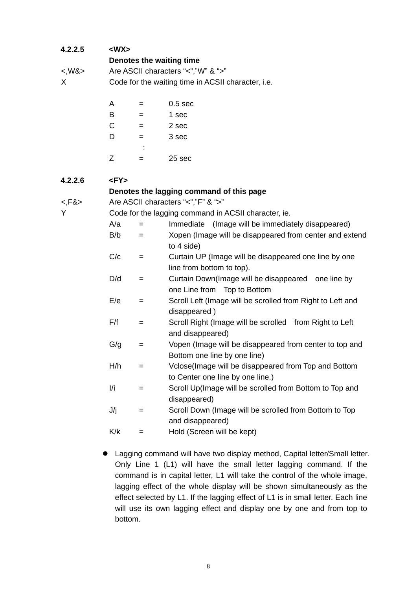# **4.2.2.5 <WX>**

# **Denotes the waiting time**

<,W&> Are ASCII characters "<","W" & ">"

X Code for the waiting time in ACSII character, i.e.

| A  | =      | 0.5 <sub>sec</sub> |
|----|--------|--------------------|
| в  | =      | 1 sec              |
| C  | =      | 2 sec              |
| I) | =      | 3 sec              |
|    | ٠<br>٠ |                    |
| 7  |        | 25 sec             |

#### **4.2.2.6 <FY>**

#### **Denotes the lagging command of this page**

<,F&> Are ASCII characters "<","F" & ">"

Y Code for the lagging command in ACSII character, ie.

| A/a | $=$ $\blacksquare$ | Immediate (Image will be immediately disappeared)       |
|-----|--------------------|---------------------------------------------------------|
| B/b | $=$ $-$            | Xopen (Image will be disappeared from center and extend |
|     |                    | to 4 side)                                              |

- $C/c =$  Curtain UP (Image will be disappeared one line by one line from bottom to top).
- $D/d =$  Curtain Down(Image will be disappeared one line by one Line from Top to Bottom
- $E/e$  = Scroll Left (Image will be scrolled from Right to Left and disappeared )
- $F/f =$  Scroll Right (Image will be scrolled from Right to Left and disappeared)
- $G/g =$  Vopen (Image will be disappeared from center to top and Bottom one line by one line)
- H/h = Vclose(Image will be disappeared from Top and Bottom to Center one line by one line.)
- $I/i =$  Scroll Up(Image will be scrolled from Bottom to Top and disappeared)
- $J/i =$  Scroll Down (Image will be scrolled from Bottom to Top and disappeared)

 $K/k =$  Hold (Screen will be kept)

**Lagging command will have two display method, Capital letter/Small letter.** Only Line 1 (L1) will have the small letter lagging command. If the command is in capital letter, L1 will take the control of the whole image, lagging effect of the whole display will be shown simultaneously as the effect selected by L1. If the lagging effect of L1 is in small letter. Each line will use its own lagging effect and display one by one and from top to bottom.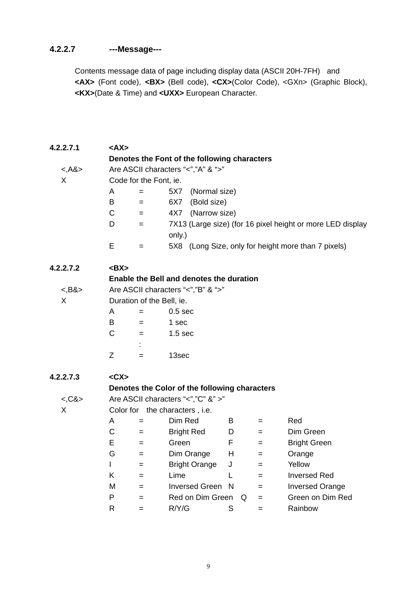# **4.2.2.7 ---Message---**

Contents message data of page including display data (ASCII 20H-7FH) and **<AX>** (Font code), **<BX>** (Bell code), **<CX>**(Color Code), <GXn> (Graphic Block), **<KX>**(Date & Time) and **<UXX>** European Character.

| 4.2.2.7.1   | <ax></ax>                                    |                                    |                                               |    |     |                                                            |  |  |  |  |  |
|-------------|----------------------------------------------|------------------------------------|-----------------------------------------------|----|-----|------------------------------------------------------------|--|--|--|--|--|
|             | Denotes the Font of the following characters |                                    |                                               |    |     |                                                            |  |  |  |  |  |
| <,A&>       |                                              | Are ASCII characters "<","A" & ">" |                                               |    |     |                                                            |  |  |  |  |  |
| X           |                                              | Code for the Font, ie.             |                                               |    |     |                                                            |  |  |  |  |  |
|             | A                                            | $=$                                | 5X7 (Normal size)                             |    |     |                                                            |  |  |  |  |  |
|             | B                                            | $=$                                | (Bold size)<br>6X7                            |    |     |                                                            |  |  |  |  |  |
|             | C                                            | $=$                                | 4X7 (Narrow size)                             |    |     |                                                            |  |  |  |  |  |
|             | D                                            | $=$                                |                                               |    |     | 7X13 (Large size) (for 16 pixel height or more LED display |  |  |  |  |  |
|             |                                              |                                    | only.)                                        |    |     |                                                            |  |  |  |  |  |
|             | Е                                            | $=$                                |                                               |    |     | 5X8 (Long Size, only for height more than 7 pixels)        |  |  |  |  |  |
| 4.2.2.7.2   | $<$ BX $>$                                   |                                    |                                               |    |     |                                                            |  |  |  |  |  |
|             |                                              |                                    | Enable the Bell and denotes the duration      |    |     |                                                            |  |  |  |  |  |
| <, B&&>     |                                              |                                    | Are ASCII characters "<","B" & ">"            |    |     |                                                            |  |  |  |  |  |
| X           |                                              |                                    | Duration of the Bell, ie.                     |    |     |                                                            |  |  |  |  |  |
|             | A                                            | $=$                                | 0.5 <sub>sec</sub>                            |    |     |                                                            |  |  |  |  |  |
|             | B                                            | $=$                                | 1 sec                                         |    |     |                                                            |  |  |  |  |  |
|             | $\mathsf{C}$                                 | $=$                                | 1.5 <sub>sec</sub>                            |    |     |                                                            |  |  |  |  |  |
|             |                                              |                                    |                                               |    |     |                                                            |  |  |  |  |  |
|             | Z                                            | $=$                                | 13sec                                         |    |     |                                                            |  |  |  |  |  |
| 4.2.2.7.3   |                                              |                                    |                                               |    |     |                                                            |  |  |  |  |  |
|             |                                              |                                    | Denotes the Color of the following characters |    |     |                                                            |  |  |  |  |  |
| $<$ ,C& $>$ |                                              |                                    | Are ASCII characters "<","C" &" >"            |    |     |                                                            |  |  |  |  |  |
| X           |                                              |                                    | Color for the characters, i.e.                |    |     |                                                            |  |  |  |  |  |
|             | A                                            | $=$                                | Dim Red                                       | B  | $=$ | Red                                                        |  |  |  |  |  |
|             | C                                            | $=$                                | <b>Bright Red</b>                             | D  | $=$ | Dim Green                                                  |  |  |  |  |  |
|             | Е                                            | $=$                                | Green                                         | F. | $=$ | <b>Bright Green</b>                                        |  |  |  |  |  |
|             | G                                            | $=$                                | Dim Orange                                    | H  | $=$ | Orange                                                     |  |  |  |  |  |
|             | L                                            | $=$                                | <b>Bright Orange</b>                          | J  | $=$ | Yellow                                                     |  |  |  |  |  |
|             | K                                            | $=$                                | Lime                                          | L  | $=$ | <b>Inversed Red</b>                                        |  |  |  |  |  |
|             | M                                            | $=$                                | Inversed Green N                              |    | $=$ | <b>Inversed Orange</b>                                     |  |  |  |  |  |
|             | P                                            | $=$                                | Red on Dim Green                              | Q  | $=$ | Green on Dim Red                                           |  |  |  |  |  |
|             | R                                            | $=$                                | R/Y/G                                         | S  | $=$ | Rainbow                                                    |  |  |  |  |  |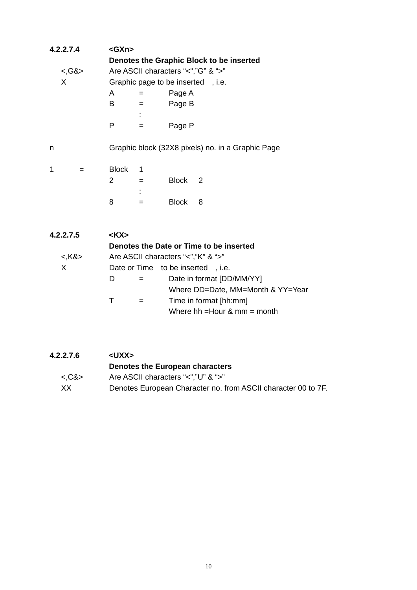| 4.2.2.7.4   | <gxn></gxn>                              |                                                   |              |                                                                                                 |  |  |  |
|-------------|------------------------------------------|---------------------------------------------------|--------------|-------------------------------------------------------------------------------------------------|--|--|--|
|             | Denotes the Graphic Block to be inserted |                                                   |              |                                                                                                 |  |  |  |
| <,68>       |                                          | Are ASCII characters "<","G" & ">"                |              |                                                                                                 |  |  |  |
| X           | Graphic page to be inserted, i.e.        |                                                   |              |                                                                                                 |  |  |  |
|             | A                                        | $=$                                               | Page A       |                                                                                                 |  |  |  |
|             | B                                        | $=$                                               | Page B       |                                                                                                 |  |  |  |
|             |                                          |                                                   |              |                                                                                                 |  |  |  |
|             | P                                        | $=$                                               | Page P       |                                                                                                 |  |  |  |
| n           |                                          | Graphic block (32X8 pixels) no. in a Graphic Page |              |                                                                                                 |  |  |  |
| 1<br>$=$    | <b>Block</b>                             | 1                                                 |              |                                                                                                 |  |  |  |
|             | 2                                        | $=$                                               | <b>Block</b> | 2                                                                                               |  |  |  |
|             | 8                                        | $=$                                               | <b>Block</b> | 8                                                                                               |  |  |  |
| 4.2.2.7.5   | $<$ KX $>$                               |                                                   |              |                                                                                                 |  |  |  |
|             |                                          |                                                   |              | Denotes the Date or Time to be inserted                                                         |  |  |  |
| $<,$ K& $>$ | Are ASCII characters "<","K" & ">"       |                                                   |              |                                                                                                 |  |  |  |
| X           |                                          |                                                   |              | Date or Time to be inserted, i.e.                                                               |  |  |  |
|             | D                                        | $=$                                               |              | Date in format [DD/MM/YY]                                                                       |  |  |  |
|             | T                                        | $=$                                               |              | Where DD=Date, MM=Month & YY=Year<br>Time in format [hh:mm]<br>Where $hh =$ Hour & $mm =$ month |  |  |  |

| 4.2.2.7.6  | <uxx></uxx>                                                   |
|------------|---------------------------------------------------------------|
|            | Denotes the European characters                               |
| $<$ C& $>$ | Are ASCII characters "<","U" & ">"                            |
| xх         | Denotes European Character no. from ASCII character 00 to 7F. |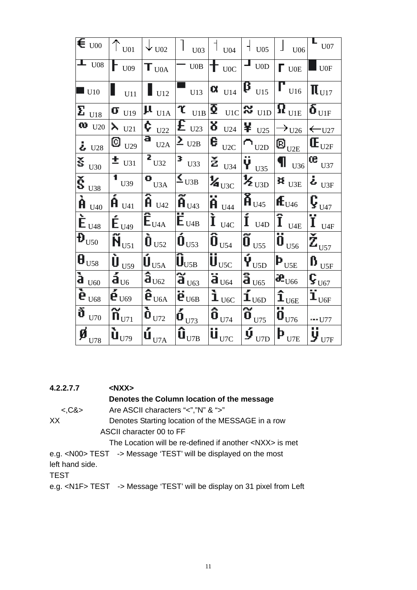| $\overline{\epsilon}$ U00                           | $\uparrow$ <sub>U01</sub>                              | $\mathbf{\Psi}$ U02                                                                           | $U$ 03                                           | U04                                               | U <sub>05</sub>                               | U06                                              | $U$ 07                                                              |
|-----------------------------------------------------|--------------------------------------------------------|-----------------------------------------------------------------------------------------------|--------------------------------------------------|---------------------------------------------------|-----------------------------------------------|--------------------------------------------------|---------------------------------------------------------------------|
| $\overline{\mathbf{I}^{\top}}_{U08}$                | U <sub>09</sub>                                        | $T_{\text{U0A}}$                                                                              | U0B                                              | $+$ UOC                                           | $\mathbf{I}_{\text{UOD}}$                     | $\Gamma$ UOE                                     | $U0F$                                                               |
| U10                                                 | U11                                                    | $\blacksquare$ U12                                                                            | U13                                              | $\alpha$ <sub>U14</sub>                           | $\overline{\beta}$ <sub>U15</sub>             | $\Gamma_{U16}$                                   | $\Pi_{\mathrm{U17}}$                                                |
| $\boldsymbol{\Sigma}$ $_{\text{U18}}$               | $\mathbf{G}$ U19                                       | $\pmb{\mu}$ $_{\text{U1A}}$                                                                   | $T_{U1B}$                                        | $\overline{\Phi}_{\rm U1C}$                       | $\overline{\mathbf{w}}_{\text{UID}}$          | $\overline{\mathbf{R}}_{\text{UIE}}$             | $\overline{\boldsymbol{\delta}}_{\text{UIF}}$                       |
| $\omega$ U <sub>20</sub>                            | $\lambda$ U21                                          | $\bullet$ $_{U22}$                                                                            | $\overline{\mathbf{E}}$ U23                      | $\overline{\mathbf{b}}$ $_{\text{U24}}$           | $\frac{11}{25}$                               | $\rightarrow$ U <sub>26</sub>                    | ←<br>$-U27$                                                         |
| $L$ U28                                             | $\textcircled{\scriptsize{1}}_{\text{U29}}$            | Ы<br>U2A                                                                                      | $\frac{d}{dx}$ U <sub>2B</sub>                   | $E_{U\underline{2C}}$                             | $\bigcap_{U2D}$                               | $\hbox{\sf B}_{\ensuremath{\mathrm{U2E}}}$       | $\mathop{\hbox{\rm I\mskip-4.4mu E}}\nolimits_{\rm U2F}$            |
| $\mathbf{\xi}$ <sub>U30</sub>                       | $\pm$ U31                                              | $\overline{2}$ <sub>U32</sub>                                                                 | 3.<br>U33                                        | $\boldsymbol{\Sigma}_{\text{U34}}$                | $\ddot{\mathbf{v}}$ <sub>U35</sub>            | $\blacksquare$                                   | $\overline{\text{ce}}$ <sub>U37</sub>                               |
| $\mathbf{\check{S}}_{\mathbf{U}38}$                 | $\overline{1}$ U39                                     | $\overline{\textbf{o}}_{\text{U3A}}$                                                          | $\overline{\underline{\mathbf{C}}}_{U3B}$        | $\mathbf{k}_{\text{U3C}}$                         | $\mathbf{z}_{\text{u}}$                       | $\pmb{\mathsf{H}}$ U3E                           | $\pmb{\dot{z}}$ U3F                                                 |
| $\overline{\mathbf{h}}_{U40}$                       | $\mathbf{A}_{U41}$                                     | $\overline{\hat{\mathbf{H}}_{U42}}$                                                           | nr.<br>$\ddot{\mathbf{H}}_{U43}$                 | п.<br>$\overline{H}$ U44                          | $\overline{\mathbf{A}}_{U45}$                 | $\textbf{f}_{\mathrm{U46}}$                      | $\boldsymbol{\mathbf{\mathbb{G}}}_{\ensuremath{\text{U47}}\xspace}$ |
| $\overline{\mathbf{\dot{E}}}_{U48}$                 | $\dot{\mathbf{E}}_{\mathrm{U49}}$                      | $\overline{\mathbf{E}}_{\text{U4A}}$                                                          | $\bar{E}_{U4B}$                                  | $\mathbf{\dot{I}}$ U4C                            | $\overline{\mathbf{i}}$ U4D                   | $\overline{\mathbf{I}}$ $_{\text{U4E}}$          | 1<br>U4F                                                            |
| $\mathbf{P}_{\textrm{U50}}$                         | $\overline{\widetilde{\bm{N}}}_{U51}$                  | $\overline{\mathbf{0}}_{\mathrm{U52}}$                                                        | $\bar{\bm{0}}_{\text{U53}}$                      | $\overline{\mathbf{0}}_{\text{\tiny U54}}$        | $\overline{\mathbf{\tilde{0}}}_{\text{U55}}$  | $\overline{\mathbf{0}}_{\text{U56}}$             | $\overline{\check{\mathbf{Z}}}_{\text{\tiny U57}}$                  |
| $\pmb{\mathsf{H}}_{\text{U58}}$                     | $\overline{\mathbf{\tilde{U}}}_{\text{U59}}$           | $\overline{\overline{\overline{\mathbf{U}}}}_{\mathrm{U}\underline{5}\underline{\mathrm{A}}}$ | $\overline{\textbf{U}}_{\text{U5B}}$             | $\overline{\overline{\mathbf{U}}_{\mathrm{USC}}}$ | $\overline{\dot{\Psi}}_{\mathrm{U5D}}$        | $\mathbf{b}_{\text{U5E}}$                        | $\pmb{\mathsf{B}}_{\text{U5F}}$                                     |
| $\overline{\mathbf{a}}$ $_{\text{U\underline{60}}}$ | $\mathbf{\dot{a}}_{\text{U6}}$                         | $\overline{\mathbf{a}}_{U62}$                                                                 | $\overline{\mathbf{a}}_{\underline{\text{U63}}}$ | $\overline{\mathbf{a}}_{\mathrm{U64}}$            | $\overline{\mathbf{a}}_{\mathrm{U65}}$        | $\mathbf{d} \mathbf{e}_{\text{U66}}$             | $\boldsymbol{\mathsf{G}}_{\underline{\mathrm{U67}}}$                |
| $\overline{\mathbf{P}_{U68}}$                       | $\bar{\mathbf{e}}_{U69}$                               | $\overline{\mathbf{e}}_{\text{U6A}}$                                                          | $\mathbf{e}_{\text{\tiny{U6B}}}$                 | $\overline{\mathbf{1}}_{\text{U6C}}$              | $\bar{\mathbf{1}}_{\text{U6D}}$               | $\boldsymbol{\hat{1}}_{\text{U$                  | $\mathbf{I}_{\text{U6F}}$                                           |
| $\boldsymbol{\eth}$ $_{\mathrm{U70}}$               | $\overline{\widetilde{\textbf{n}}}_{\text{\tiny U71}}$ | $\overline{\mathbf{b}}_{\text{U72}}$                                                          | $\overline{\mathbf{0}}_{\text{U73}}$             | $\overline{\mathbf{a}}_{\text{\tiny U74}}$        | $\overline{\mathbf{a}}_{\text{\tiny U25}}$    | $\overline{\mathbf{0}}_{\text{U}\underline{76}}$ | $\frac{1}{1}$ U77                                                   |
| $\vec{p}$ <sub>U78</sub>                            | $\overline{\mathbf{u}}_{\text{U79}}$                   | $\overline{\tilde{\mathbf{u}}}_{\text{U7A}}$                                                  | $\overline{\hat{\bm{u}}}_{\text{U7B}}$           |                                                   | $\overline{\dot{\mathbf{y}}}_{_\mathrm{U7D}}$ | $\mathbf{P}_{\text{U7E}}$                        | $\mathbf{y}_{U\text{ZF}}$                                           |

| 4.2.2.7.7       | $<$ NXX $>$                                                                         |
|-----------------|-------------------------------------------------------------------------------------|
|                 | Denotes the Column location of the message                                          |
| $<$ , $C&>$     | Are ASCII characters "<","N" & ">"                                                  |
| XХ              | Denotes Starting location of the MESSAGE in a row                                   |
|                 | ASCII character 00 to FF                                                            |
|                 | The Location will be re-defined if another <nxx> is met</nxx>                       |
|                 | e.g. <n00> TEST -&gt; Message 'TEST' will be displayed on the most</n00>            |
| left hand side. |                                                                                     |
| TEST            |                                                                                     |
|                 | e.g. <n1f> TEST    -&gt; Message 'TEST' will be display on 31 pixel from Left</n1f> |
|                 |                                                                                     |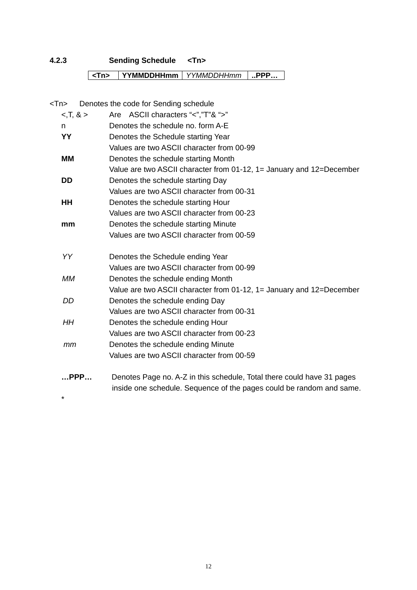**4.2.3 Sending Schedule <Tn>** 

**<Tn> YYMMDDHHmm** *YYMMDDHHmm* **..PPP…**

| <tn></tn>    | Denotes the code for Sending schedule                                  |
|--------------|------------------------------------------------------------------------|
| $-5, 7, 8 >$ | Are ASCII characters "<","T"& ">"                                      |
| n.           | Denotes the schedule no. form A-E                                      |
| YY           | Denotes the Schedule starting Year                                     |
|              | Values are two ASCII character from 00-99                              |
| МM           | Denotes the schedule starting Month                                    |
|              | Value are two ASCII character from 01-12, 1= January and 12=December   |
| DD           | Denotes the schedule starting Day                                      |
|              | Values are two ASCII character from 00-31                              |
| HH           | Denotes the schedule starting Hour                                     |
|              | Values are two ASCII character from 00-23                              |
| mm           | Denotes the schedule starting Minute                                   |
|              | Values are two ASCII character from 00-59                              |
| YY           | Denotes the Schedule ending Year                                       |
|              | Values are two ASCII character from 00-99                              |
| MМ           | Denotes the schedule ending Month                                      |
|              | Value are two ASCII character from 01-12, 1= January and 12=December   |
| DD           | Denotes the schedule ending Day                                        |
|              | Values are two ASCII character from 00-31                              |
| HH.          | Denotes the schedule ending Hour                                       |
|              | Values are two ASCII character from 00-23                              |
| mm           | Denotes the schedule ending Minute                                     |
|              | Values are two ASCII character from 00-59                              |
| $$ PPP $$    | Denotes Page no. A-Z in this schedule, Total there could have 31 pages |
|              | inside one schedule. Sequence of the pages could be random and same.   |

\*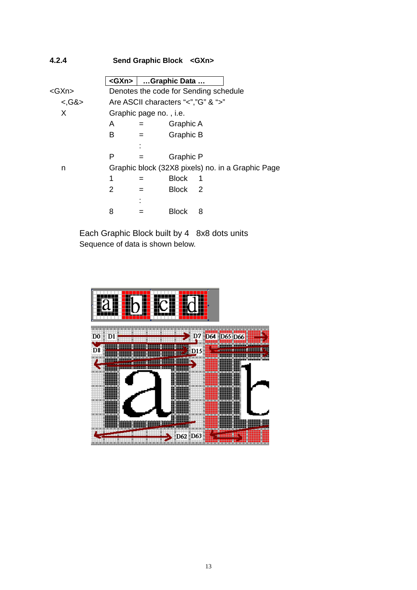| 4.2.4        |              |                        | Send Graphic Block < GXn>          |                                                   |
|--------------|--------------|------------------------|------------------------------------|---------------------------------------------------|
|              | <gxn>∣</gxn> |                        | Graphic Data                       |                                                   |
| <gxn></gxn>  |              |                        |                                    | Denotes the code for Sending schedule             |
| $<$ , G& $>$ |              |                        | Are ASCII characters "<","G" & ">" |                                                   |
| X            |              | Graphic page no., i.e. |                                    |                                                   |
|              | A            | $=$                    | Graphic A                          |                                                   |
|              | в            | $=$                    | Graphic B                          |                                                   |
|              |              |                        |                                    |                                                   |
|              | Р            |                        | Graphic P                          |                                                   |
| n            |              |                        |                                    | Graphic block (32X8 pixels) no. in a Graphic Page |
|              | 1            |                        | <b>Block</b>                       | 1                                                 |
|              | 2            | $=$                    | Block                              | - 2                                               |
|              |              |                        |                                    |                                                   |
|              | 8            |                        | Block                              | 8                                                 |

Each Graphic Block built by 4 8x8 dots units Sequence of data is shown below.

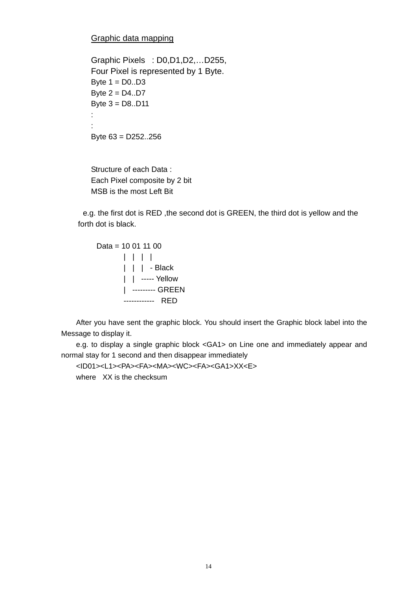#### Graphic data mapping

```
Graphic Pixels : D0,D1,D2,…D255, 
Four Pixel is represented by 1 Byte. 
Byte 1 = D0..D3
Byte 2 = D4..D7
Byte 3 = D8..D11
: 
: 
Byte 63 = D252..256
```
Structure of each Data : Each Pixel composite by 2 bit MSB is the most Left Bit

e.g. the first dot is RED, the second dot is GREEN, the third dot is yellow and the forth dot is black.

```
Data = 10,01,11,00 | | | | 
         | | | - Black 
         | | ----- Yellow 
         | --------- GREEN 
         ------------ RED
```
After you have sent the graphic block. You should insert the Graphic block label into the Message to display it.

e.g. to display a single graphic block <GA1> on Line one and immediately appear and normal stay for 1 second and then disappear immediately

<ID01><L1><PA><FA><MA><WC><FA><GA1>XX<E>

where XX is the checksum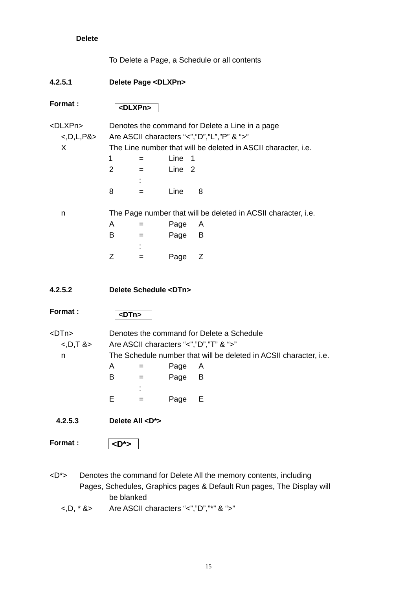### **Delete**

To Delete a Page, a Schedule or all contents

# **4.2.5.1 Delete Page <DLXPn>**

| Format:          | <dlxpn></dlxpn>      |                             |                        |                                                                   |
|------------------|----------------------|-----------------------------|------------------------|-------------------------------------------------------------------|
| <dlxpn></dlxpn>  |                      |                             |                        | Denotes the command for Delete a Line in a page                   |
| $<$ ,D,L,P& $>$  |                      |                             |                        | Are ASCII characters "<","D","L","P" & ">"                        |
| X                |                      |                             |                        | The Line number that will be deleted in ASCII character, i.e.     |
|                  | $\mathbf{1}$         | $=$                         | Line<br>$\overline{1}$ |                                                                   |
|                  | $\overline{2}$       | $=$                         | Line <sub>2</sub>      |                                                                   |
|                  |                      |                             |                        |                                                                   |
|                  | 8                    | $=$                         | Line                   | 8                                                                 |
| n                |                      |                             |                        | The Page number that will be deleted in ACSII character, i.e.     |
|                  | A                    | $=$                         | Page                   | A                                                                 |
|                  | B                    | $=$                         | Page                   | B                                                                 |
|                  |                      |                             |                        |                                                                   |
|                  | Z                    | $=$                         | Page                   | Z                                                                 |
| 4.2.5.2          |                      | Delete Schedule <dtn></dtn> |                        |                                                                   |
| Format:          | <dtn></dtn>          |                             |                        |                                                                   |
| $-DTn$           |                      |                             |                        | Denotes the command for Delete a Schedule                         |
| $<$ , D, T & $>$ |                      |                             |                        | Are ASCII characters "<","D","T" & ">"                            |
| n                |                      |                             |                        | The Schedule number that will be deleted in ACSII character, i.e. |
|                  | A                    | $=$                         | Page                   | A                                                                 |
|                  | B                    | $=$                         | Page                   | B                                                                 |
|                  |                      |                             |                        |                                                                   |
|                  | Е                    | $=$                         | Page                   | Е                                                                 |
| 4.2.5.3          | Delete All <d*></d*> |                             |                        |                                                                   |
| Format:          | $<$ D $^*$ >         |                             |                        |                                                                   |

<D\*> Denotes the command for Delete All the memory contents, including Pages, Schedules, Graphics pages & Default Run pages, The Display will be blanked

<,D, \* &> Are ASCII characters "<","D","\*" & ">"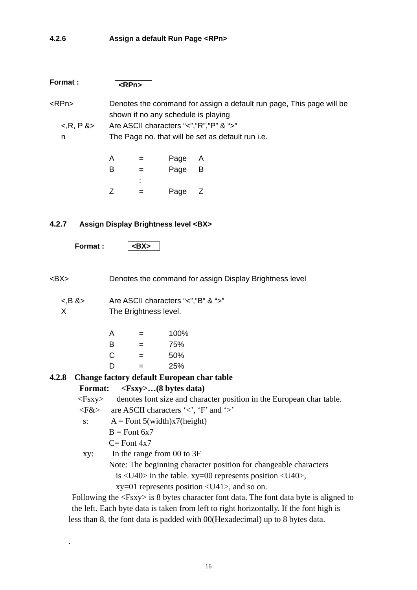# **4.2.6 Assign a default Run Page <RPn>**

| Format :            |                                                   | RPn                 |      |                                                                                                             |  |
|---------------------|---------------------------------------------------|---------------------|------|-------------------------------------------------------------------------------------------------------------|--|
| RPPn                |                                                   |                     |      | Denotes the command for assign a default run page, This page will be<br>shown if no any schedule is playing |  |
| $\leq$ , R, P & $>$ |                                                   |                     |      | Are ASCII characters "<","R","P" & ">"                                                                      |  |
| n                   | The Page no. that will be set as default run i.e. |                     |      |                                                                                                             |  |
|                     | A                                                 | $=$                 | Page | A                                                                                                           |  |
|                     | B                                                 | $=$                 | Page | B                                                                                                           |  |
|                     |                                                   | ٠<br>$\blacksquare$ |      |                                                                                                             |  |
|                     | Ζ                                                 |                     | Page | Ζ                                                                                                           |  |
|                     |                                                   |                     |      |                                                                                                             |  |

#### **4.2.7 Assign Display Brightness level <BX>**

| Format: |
|---------|
|---------|

| <bx><br/>Denotes the command for assign Display Brightness level</bx> |  |
|-----------------------------------------------------------------------|--|
|-----------------------------------------------------------------------|--|

<,B &> Are ASCII characters "<","B" & ">" X The Brightness level.

| Δ | $=$ | 100% |
|---|-----|------|

| R | $=$ | 75% |
|---|-----|-----|
| C | =   | 50% |
| D | $=$ | 25% |

#### **4.2.8 Change factory default European char table**

#### **Format: <Fsxy>…(8 bytes data)**

<Fsxy> denotes font size and character position in the European char table.

 $\langle$ F&> are ASCII characters ' $\langle$ ', 'F' and '>'

- s:  $A =$  Font 5(width)x7(height)
	- $B =$ Font 6x7

```
C= Font 4x7
```
.

xy: In the range from 00 to 3F

 Note: The beginning character position for changeable characters is <U40> in the table. xy=00 represents position <U40>,

xy=01 represents position <U41>, and so on.

 Following the <Fsxy> is 8 bytes character font data. The font data byte is aligned to the left. Each byte data is taken from left to right horizontally. If the font high is less than 8, the font data is padded with 00(Hexadecimal) up to 8 bytes data.